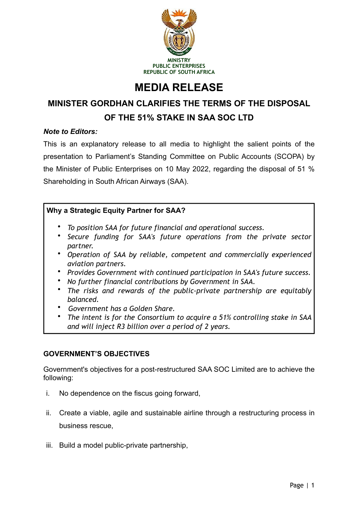

# **MEDIA RELEASE**

## **MINISTER GORDHAN CLARIFIES THE TERMS OF THE DISPOSAL OF THE 51% STAKE IN SAA SOC LTD**

## *Note to Editors:*

This is an explanatory release to all media to highlight the salient points of the presentation to Parliament's Standing Committee on Public Accounts (SCOPA) by the Minister of Public Enterprises on 10 May 2022, regarding the disposal of 51 % Shareholding in South African Airways (SAA).

## **Why a Strategic Equity Partner for SAA?**

- *To position SAA for future financial and operational success.*
- *Secure funding for SAA's future operations from the private sector partner.*
- *Operation of SAA by reliable, competent and commercially experienced aviation partners.*
- *Provides Government with continued participation in SAA's future success.*
- *No further financial contributions by Government in SAA.*
- *The risks and rewards of the public-private partnership are equitably balanced.*
- *Government has a Golden Share.*
- *The intent is for the Consortium to acquire a 51% controlling stake in SAA and will inject R3 billion over a period of 2 years.*

## **GOVERNMENT'S OBJECTIVES**

Government's objectives for a post-restructured SAA SOC Limited are to achieve the following:

- i. No dependence on the fiscus going forward,
- ii. Create a viable, agile and sustainable airline through a restructuring process in business rescue,
- iii. Build a model public-private partnership,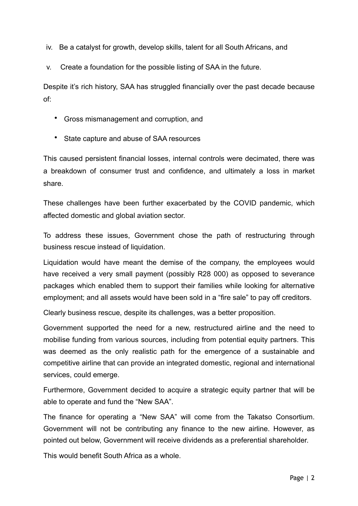iv. Be a catalyst for growth, develop skills, talent for all South Africans, and

v. Create a foundation for the possible listing of SAA in the future.

Despite it's rich history, SAA has struggled financially over the past decade because of:

- Gross mismanagement and corruption, and
- State capture and abuse of SAA resources

This caused persistent financial losses, internal controls were decimated, there was a breakdown of consumer trust and confidence, and ultimately a loss in market share.

These challenges have been further exacerbated by the COVID pandemic, which affected domestic and global aviation sector.

To address these issues, Government chose the path of restructuring through business rescue instead of liquidation.

Liquidation would have meant the demise of the company, the employees would have received a very small payment (possibly R28 000) as opposed to severance packages which enabled them to support their families while looking for alternative employment; and all assets would have been sold in a "fire sale" to pay off creditors.

Clearly business rescue, despite its challenges, was a better proposition.

Government supported the need for a new, restructured airline and the need to mobilise funding from various sources, including from potential equity partners. This was deemed as the only realistic path for the emergence of a sustainable and competitive airline that can provide an integrated domestic, regional and international services, could emerge.

Furthermore, Government decided to acquire a strategic equity partner that will be able to operate and fund the "New SAA".

The finance for operating a "New SAA" will come from the Takatso Consortium. Government will not be contributing any finance to the new airline. However, as pointed out below, Government will receive dividends as a preferential shareholder.

This would benefit South Africa as a whole.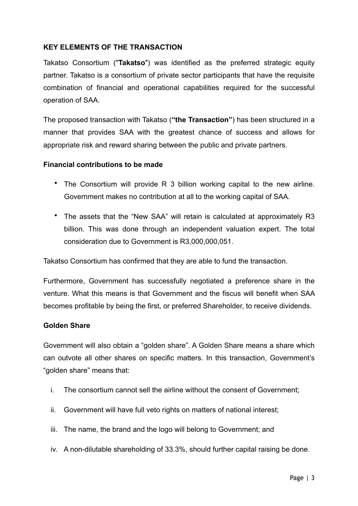### **KEY ELEMENTS OF THE TRANSACTION**

Takatso Consortium ("**Takatso**") was identified as the preferred strategic equity partner. Takatso is a consortium of private sector participants that have the requisite combination of financial and operational capabilities required for the successful operation of SAA.

The proposed transaction with Takatso (**"the Transaction"**) has been structured in a manner that provides SAA with the greatest chance of success and allows for appropriate risk and reward sharing between the public and private partners.

#### **Financial contributions to be made**

- The Consortium will provide R 3 billion working capital to the new airline. Government makes no contribution at all to the working capital of SAA.
- The assets that the "New SAA" will retain is calculated at approximately R3 billion. This was done through an independent valuation expert. The total consideration due to Government is R3,000,000,051.

Takatso Consortium has confirmed that they are able to fund the transaction.

Furthermore, Government has successfully negotiated a preference share in the venture. What this means is that Government and the fiscus will benefit when SAA becomes profitable by being the first, or preferred Shareholder, to receive dividends.

#### **Golden Share**

Government will also obtain a "golden share". A Golden Share means a share which can outvote all other shares on specific matters. In this transaction, Government's "golden share" means that:

- i. The consortium cannot sell the airline without the consent of Government;
- ii. Government will have full veto rights on matters of national interest;
- iii. The name, the brand and the logo will belong to Government; and
- iv. A non-dilutable shareholding of 33.3%, should further capital raising be done.